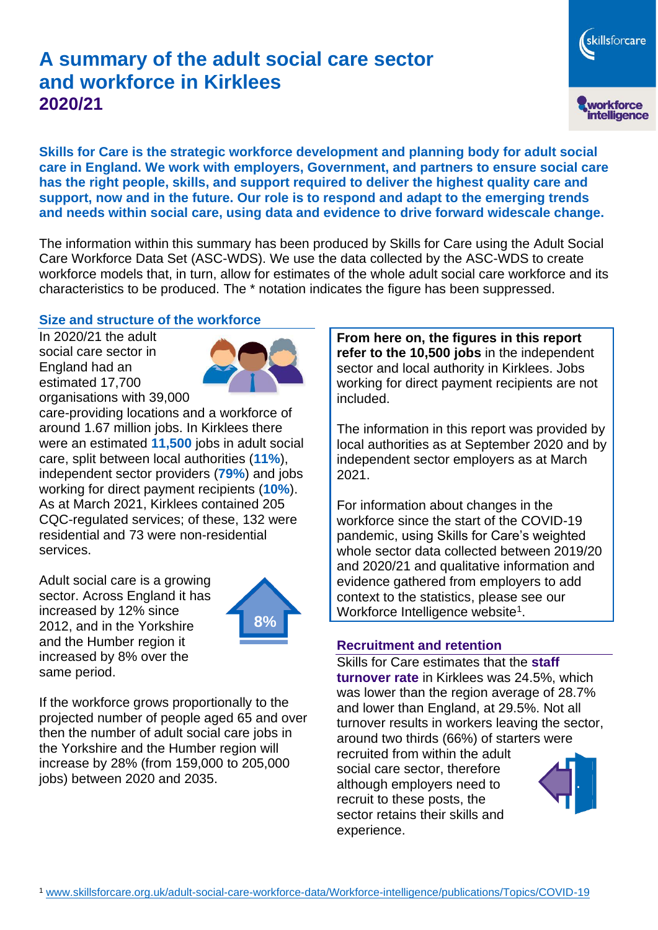# **A summary of the adult social care sector and workforce in Kirklees 2020/21**

skillsforcare workforce<br>intelligence

**Skills for Care is the strategic workforce development and planning body for adult social care in England. We work with employers, Government, and partners to ensure social care has the right people, skills, and support required to deliver the highest quality care and support, now and in the future. Our role is to respond and adapt to the emerging trends and needs within social care, using data and evidence to drive forward widescale change.**

The information within this summary has been produced by Skills for Care using the Adult Social Care Workforce Data Set (ASC-WDS). We use the data collected by the ASC-WDS to create workforce models that, in turn, allow for estimates of the whole adult social care workforce and its characteristics to be produced. The \* notation indicates the figure has been suppressed.

#### **Size and structure of the workforce**

In 2020/21 the adult social care sector in England had an estimated 17,700 organisations with 39,000



care-providing locations and a workforce of around 1.67 million jobs. In Kirklees there were an estimated **11,500** jobs in adult social care, split between local authorities (**11%**), independent sector providers (**79%**) and jobs working for direct payment recipients (**10%**). As at March 2021, Kirklees contained 205 CQC-regulated services; of these, 132 were residential and 73 were non-residential services.

Adult social care is a growing sector. Across England it has increased by 12% since 2012, and in the Yorkshire and the Humber region it increased by 8% over the same period.



If the workforce grows proportionally to the projected number of people aged 65 and over then the number of adult social care jobs in the Yorkshire and the Humber region will increase by 28% (from 159,000 to 205,000 jobs) between 2020 and 2035.

**From here on, the figures in this report refer to the 10,500 jobs** in the independent sector and local authority in Kirklees. Jobs working for direct payment recipients are not included.

The information in this report was provided by local authorities as at September 2020 and by independent sector employers as at March 2021.

For information about changes in the workforce since the start of the COVID-19 pandemic, using Skills for Care's weighted whole sector data collected between 2019/20 and 2020/21 and qualitative information and evidence gathered from employers to add context to the statistics, please see our Workforce Intelligence website<sup>1</sup>.

#### **Recruitment and retention**

Skills for Care estimates that the **staff turnover rate** in Kirklees was 24.5%, which was lower than the region average of 28.7% and lower than England, at 29.5%. Not all turnover results in workers leaving the sector, around two thirds (66%) of starters were recruited from within the adult social care sector, therefore although employers need to recruit to these posts, the sector retains their skills and experience.

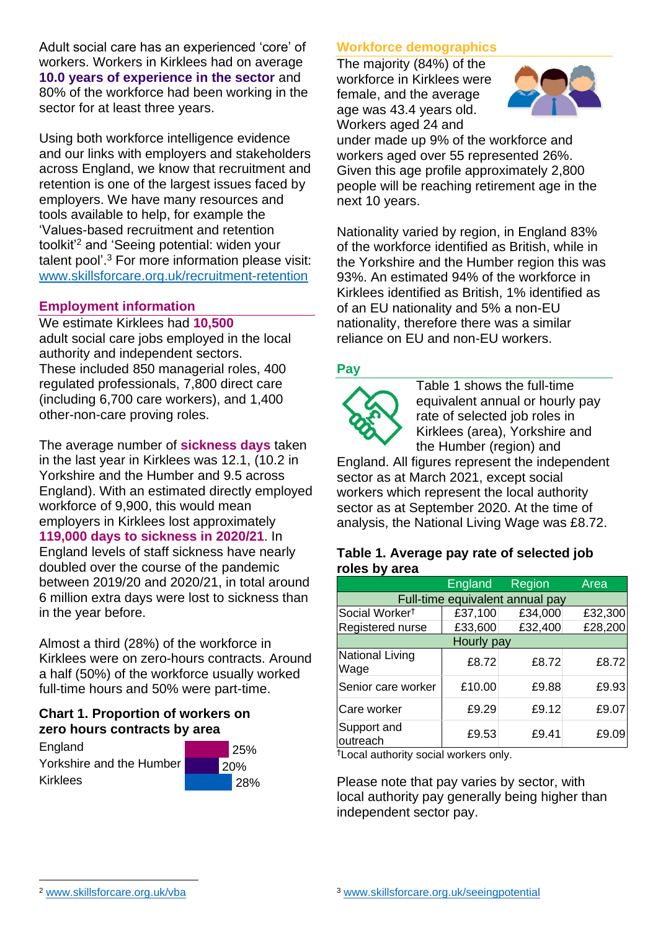Adult social care has an experienced 'core' of workers. Workers in Kirklees had on average **10.0 years of experience in the sector** and 80% of the workforce had been working in the sector for at least three years.

Using both workforce intelligence evidence and our links with employers and stakeholders across England, we know that recruitment and retention is one of the largest issues faced by employers. We have many resources and tools available to help, for example the 'Values-based recruitment and retention toolkit'<sup>2</sup> and 'Seeing potential: widen your talent pool'. <sup>3</sup> For more information please visit: [www.skillsforcare.org.uk/recruitment-retention](http://www.skillsforcare.org.uk/recruitment-retention)

#### **Employment information**

We estimate Kirklees had **10,500** adult social care jobs employed in the local authority and independent sectors. These included 850 managerial roles, 400 regulated professionals, 7,800 direct care (including 6,700 care workers), and 1,400 other-non-care proving roles.

The average number of **sickness days** taken in the last year in Kirklees was 12.1, (10.2 in Yorkshire and the Humber and 9.5 across England). With an estimated directly employed workforce of 9,900, this would mean employers in Kirklees lost approximately **119,000 days to sickness in 2020/21**. In

England levels of staff sickness have nearly doubled over the course of the pandemic between 2019/20 and 2020/21, in total around 6 million extra days were lost to sickness than in the year before.

Almost a third (28%) of the workforce in Kirklees were on zero-hours contracts. Around a half (50%) of the workforce usually worked full-time hours and 50% were part-time.

### **Chart 1. Proportion of workers on zero hours contracts by area**

**England** Yorkshire and the Humber Kirklees 25% 20% 28%

### **Workforce demographics**

The majority (84%) of the workforce in Kirklees were female, and the average age was 43.4 years old. Workers aged 24 and



under made up 9% of the workforce and workers aged over 55 represented 26%. Given this age profile approximately 2,800 people will be reaching retirement age in the next 10 years.

Nationality varied by region, in England 83% of the workforce identified as British, while in the Yorkshire and the Humber region this was 93%. An estimated 94% of the workforce in Kirklees identified as British, 1% identified as of an EU nationality and 5% a non-EU nationality, therefore there was a similar reliance on EU and non-EU workers.

#### **Pay**



Table 1 shows the full-time equivalent annual or hourly pay rate of selected job roles in Kirklees (area), Yorkshire and the Humber (region) and

England. All figures represent the independent sector as at March 2021, except social workers which represent the local authority sector as at September 2020. At the time of analysis, the National Living Wage was £8.72.

#### **Table 1. Average pay rate of selected job roles by area**

|                                 | <b>England</b> | Region  | Area    |
|---------------------------------|----------------|---------|---------|
| Full-time equivalent annual pay |                |         |         |
| Social Worker <sup>t</sup>      | £37,100        | £34,000 | £32,300 |
| Registered nurse                | £33,600        | £32,400 | £28,200 |
| Hourly pay                      |                |         |         |
| National Living<br>Wage         | £8.72          | £8.72   | £8.72   |
| Senior care worker              | £10.00         | £9.88   | £9.93   |
| Care worker                     | £9.29          | £9.12   | £9.07   |
| Support and<br>outreach         | £9.53          | £9.41   | £9.09   |

†Local authority social workers only.

Please note that pay varies by sector, with local authority pay generally being higher than independent sector pay.